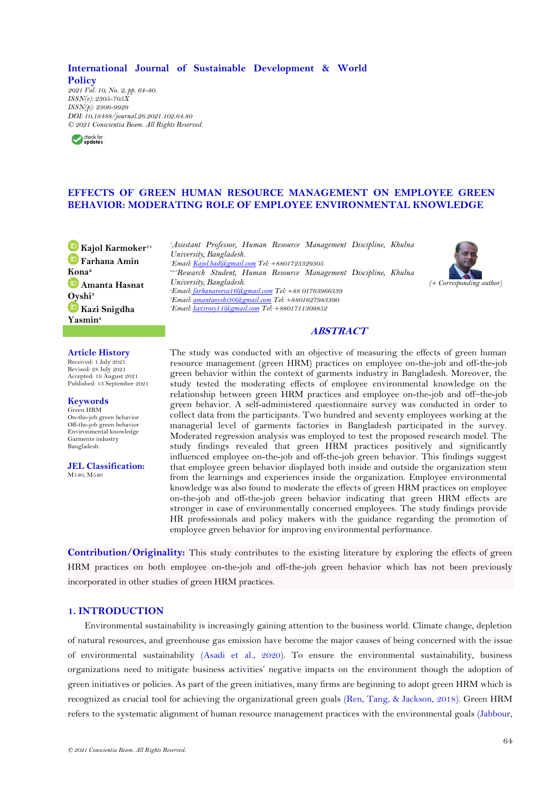**International Journal of Sustainable Development & World Policy** *2021 Vol. 10, No. 2, pp. 64-80. ISSN(e): 2305-705X ISSN(p): 2306-9929 DOI: 10.18488/journal.26.2021.102.64.80 © 2021 Conscientia Beam. All Rights Reserved.*



# **EFFECTS OF GREEN HUMAN RESOURCE MANAGEMENT ON EMPLOYEE GREEN BEHAVIOR: MODERATING ROLE OF EMPLOYEE ENVIRONMENTAL KNOWLEDGE**

**Kajol Karmoker1+ Farhana Amin Kona<sup>2</sup> Amanta Hasnat [Oys](https://orcid.org/0000-0003-1246-8463)hi<sup>3</sup> Kazi Snigdha Yasmin<sup>4</sup>**

### *<sup>1</sup>Assistant Professor, Human Resource Management Discipline, Khulna University, Bangladesh. <sup>1</sup>Email[: Kajol.bad@gmail.com](mailto:Kajol.bad@gmail.com) Tel: +8801723329305 2,3,4Research Student, Human Resource Management Discipline, Khulna University, Bangladesh. <sup>2</sup>Email[: farhanareeya16@gmail.com](mailto:farhanareeya16@gmail.com) Tel: +88 01763966339 <sup>3</sup>Email[: amantaoyshi30@gmail.com](mailto:amantaoyshi30@gmail.com) Tel: +8801627983390 <sup>4</sup>Email[: kazirosy11@gmail.com](mailto:kazirosy11@gmail.com) Tel: +8801711309852*



# **ABSTRACT**

## **Article History**

Received: 1 July 2021 Revised: 28 July 2021 Accepted: 19 August 2021 Published: 13 September 2021

## **Keywords**

Green HRM On-the-job green behavior Off-the-job green behavior Environmental knowledge Garments industry Bangladesh.

**JEL Classification:** M140, M540

The study was conducted with an objective of measuring the effects of green human resource management (green HRM) practices on employee on-the-job and off-the-job green behavior within the context of garments industry in Bangladesh. Moreover, the study tested the moderating effects of employee environmental knowledge on the relationship between green HRM practices and employee on-the-job and off–the-job green behavior. A self-administered questionnaire survey was conducted in order to collect data from the participants. Two hundred and seventy employees working at the managerial level of garments factories in Bangladesh participated in the survey. Moderated regression analysis was employed to test the proposed research model. The study findings revealed that green HRM practices positively and significantly influenced employee on-the-job and off-the-job green behavior. This findings suggest that employee green behavior displayed both inside and outside the organization stem from the learnings and experiences inside the organization. Employee environmental knowledge was also found to moderate the effects of green HRM practices on employee on-the-job and off-the-job green behavior indicating that green HRM effects are stronger in case of environmentally concerned employees. The study findings provide HR professionals and policy makers with the guidance regarding the promotion of employee green behavior for improving environmental performance.

**Contribution/Originality:** This study contributes to the existing literature by exploring the effects of green HRM practices on both employee on-the-job and off-the-job green behavior which has not been previously incorporated in other studies of green HRM practices.

# **1. INTRODUCTION**

Environmental sustainability is increasingly gaining attention to the business world. Climate change, depletion of natural resources, and greenhouse gas emission have become the major causes of being concerned with the issue of environmental sustainability [\(Asadi et al., 2020\)](#page-12-0). To ensure the environmental sustainability, business organizations need to mitigate business activities' negative impacts on the environment though the adoption of green initiatives or policies. As part of the green initiatives, many firms are beginning to adopt green HRM which is recognized as crucial tool for achieving the organizational green goals [\(Ren, Tang, & Jackson, 2018\)](#page-14-0). Green HRM refers to the systematic alignment of human resource management practices with the environmental goals [\(Jabbour,](#page-13-0)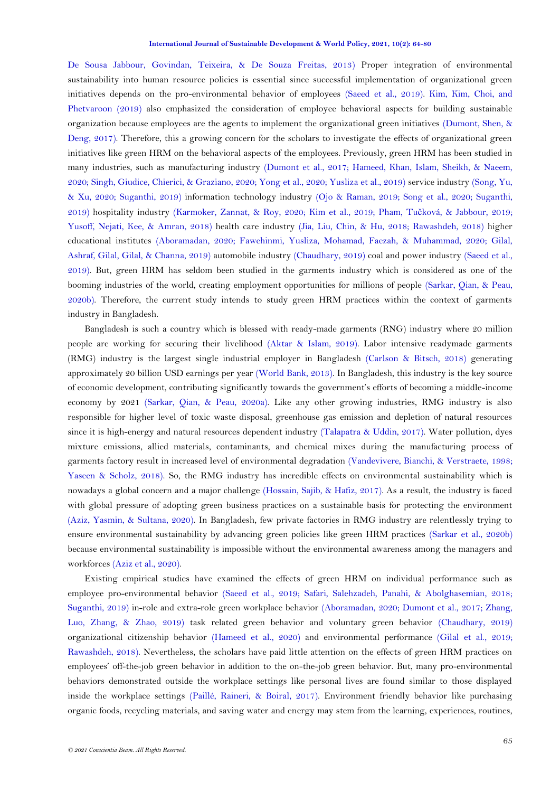[De Sousa Jabbour, Govindan, Teixeira, & De Souza Freitas, 2013\)](#page-13-0) Proper integration of environmental sustainability into human resource policies is essential since successful implementation of organizational green initiatives depends on the pro-environmental behavior of employees [\(Saeed et al., 2019\)](#page-14-1). [Kim, Kim, Choi, and](#page-14-2)  [Phetvaroon](#page-14-2) (2019) also emphasized the consideration of employee behavioral aspects for building sustainable organization because employees are the agents to implement the organizational green initiatives [\(Dumont, Shen, &](#page-12-1)  [Deng, 2017\)](#page-12-1). Therefore, this a growing concern for the scholars to investigate the effects of organizational green initiatives like green HRM on the behavioral aspects of the employees. Previously, green HRM has been studied in many industries, such as manufacturing industry [\(Dumont et al., 2017;](#page-12-1) [Hameed, Khan, Islam, Sheikh, & Naeem,](#page-13-1)  [2020;](#page-13-1) [Singh, Giudice, Chierici, & Graziano, 2020;](#page-15-0) [Yong et al., 2020;](#page-16-0) [Yusliza et al., 2019\)](#page-16-1) service industry [\(Song, Yu,](#page-15-1)  [& Xu, 2020;](#page-15-1) [Suganthi, 2019\)](#page-15-2) information technology industry [\(Ojo & Raman,](#page-14-3) 2019; [Song et al., 2020;](#page-15-1) [Suganthi,](#page-15-2)  [2019\)](#page-15-2) hospitality industry [\(Karmoker, Zannat, & Roy, 2020;](#page-13-2) [Kim et al., 2019;](#page-14-2) Pham, Tuč[ková, & Jabbour, 2019;](#page-14-4) [Yusoff, Nejati, Kee, & Amran, 2018\)](#page-16-2) health care industry [\(Jia, Liu, Chin, & Hu, 2018;](#page-13-2) [Rawashdeh, 2018\)](#page-14-5) higher educational institutes [\(Aboramadan, 2020;](#page-11-0) [Fawehinmi, Yusliza, Mohamad, Faezah, & Muhammad, 2020;](#page-13-3) [Gilal,](#page-13-4)  [Ashraf, Gilal, Gilal, & Channa, 2019\)](#page-13-4) automobile industry [\(Chaudhary, 2019\)](#page-12-1) coal and power industry [\(Saeed et al.,](#page-14-1)  [2019\)](#page-14-1). But, green HRM has seldom been studied in the garments industry which is considered as one of the booming industries of the world, creating employment opportunities for millions of people [\(Sarkar, Qian, & Peau,](#page-15-3)  [2020b\)](#page-15-3). Therefore, the current study intends to study green HRM practices within the context of garments industry in Bangladesh.

Bangladesh is such a country which is blessed with ready-made garments (RNG) industry where 20 million people are working for securing their livelihood [\(Aktar & Islam, 2019\)](#page-12-2). Labor intensive readymade garments (RMG) industry is the largest single industrial employer in Bangladesh [\(Carlson & Bitsch, 2018\)](#page-12-3) generating approximately 20 billion USD earnings per year [\(World Bank, 2013\)](#page-15-4). In Bangladesh, this industry is the key source of economic development, contributing significantly towards the government's efforts of becoming a middle-income economy by 2021 [\(Sarkar, Qian, & Peau, 2020a\)](#page-14-1). Like any other growing industries, RMG industry is also responsible for higher level of toxic waste disposal, greenhouse gas emission and depletion of natural resources since it is high-energy and natural resources dependent industry [\(Talapatra & Uddin, 2017\)](#page-15-5). Water pollution, dyes mixture emissions, allied materials, contaminants, and chemical mixes during the manufacturing process of garments factory result in increased level of environmental degradation [\(Vandevivere, Bianchi, & Verstraete, 1998;](#page-15-4) [Yaseen & Scholz, 2018\)](#page-15-4). So, the RMG industry has incredible effects on environmental sustainability which is nowadays a global concern and a major challenge [\(Hossain, Sajib, & Hafiz, 2017\)](#page-13-5). As a result, the industry is faced with global pressure of adopting green business practices on a sustainable basis for protecting the environment [\(Aziz, Yasmin, & Sultana, 2020\)](#page-12-4). In Bangladesh, few private factories in RMG industry are relentlessly trying to ensure environmental sustainability by advancing green policies like green HRM practices [\(Sarkar et al., 2020b\)](#page-15-3) because environmental sustainability is impossible without the environmental awareness among the managers and workforces [\(Aziz et al., 2020\)](#page-12-4).

Existing empirical studies have examined the effects of green HRM on individual performance such as employee pro-environmental behavior [\(Saeed et al., 2019; Safari, Salehzadeh, Panahi, & Abolghasemian, 2018;](#page-14-1) [Suganthi, 2019\)](#page-15-2) in-role and extra-role green workplace behavior [\(Aboramadan, 2020;](#page-11-0) [Dumont et al., 2017;](#page-12-1) [Zhang,](#page-16-3)  [Luo, Zhang, & Zhao, 2019\)](#page-16-3) task related green behavior and voluntary green behavior [\(Chaudhary, 2019\)](#page-12-1) organizational citizenship behavior [\(Hameed et al., 2020\)](#page-13-1) and environmental performance [\(Gilal et al., 2019;](#page-13-4) [Rawashdeh, 2018\)](#page-14-5). Nevertheless, the scholars have paid little attention on the effects of green HRM practices on employees' off-the-job green behavior in addition to the on-the-job green behavior. But, many pro-environmental behaviors demonstrated outside the workplace settings like personal lives are found similar to those displayed inside the workplace settings [\(Paillé, Raineri, & Boiral, 2017\)](#page-14-6). Environment friendly behavior like purchasing organic foods, recycling materials, and saving water and energy may stem from the learning, experiences, routines,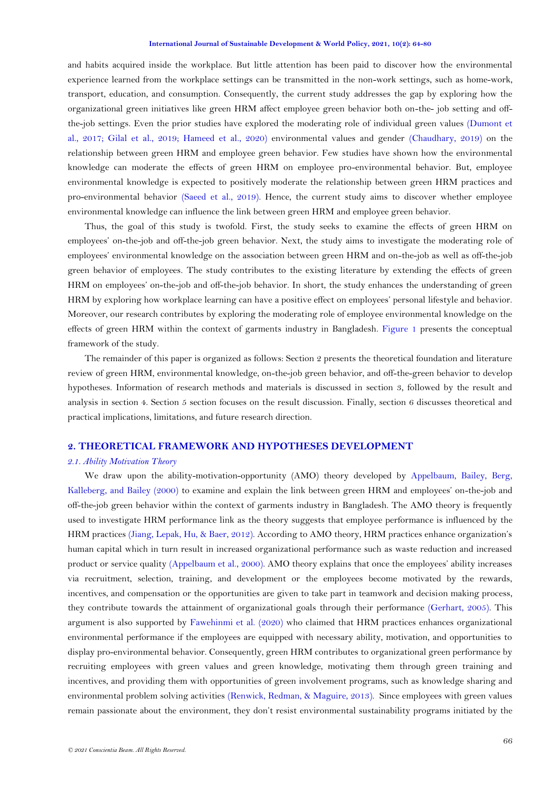#### **International Journal of Sustainable Development & World Policy, 2021, 10(2): 64-80**

and habits acquired inside the workplace. But little attention has been paid to discover how the environmental experience learned from the workplace settings can be transmitted in the non-work settings, such as home-work, transport, education, and consumption. Consequently, the current study addresses the gap by exploring how the organizational green initiatives like green HRM affect employee green behavior both on-the- job setting and offthe-job settings. Even the prior studies have explored the moderating role of individual green values [\(Dumont et](#page-12-1)  [al., 2017;](#page-12-1) [Gilal et al., 2019;](#page-13-4) [Hameed et al., 2020\)](#page-13-1) environmental values and gender [\(Chaudhary, 2019\)](#page-12-1) on the relationship between green HRM and employee green behavior. Few studies have shown how the environmental knowledge can moderate the effects of green HRM on employee pro-environmental behavior. But, employee environmental knowledge is expected to positively moderate the relationship between green HRM practices and pro-environmental behavior [\(Saeed et al., 2019\)](#page-14-1). Hence, the current study aims to discover whether employee environmental knowledge can influence the link between green HRM and employee green behavior.

Thus, the goal of this study is twofold. First, the study seeks to examine the effects of green HRM on employees' on-the-job and off-the-job green behavior. Next, the study aims to investigate the moderating role of employees' environmental knowledge on the association between green HRM and on-the-job as well as off-the-job green behavior of employees. The study contributes to the existing literature by extending the effects of green HRM on employees' on-the-job and off-the-job behavior. In short, the study enhances the understanding of green HRM by exploring how workplace learning can have a positive effect on employees' personal lifestyle and behavior. Moreover, our research contributes by exploring the moderating role of employee environmental knowledge on the effects of green HRM within the context of garments industry in Bangladesh. [Figure 1](#page-6-0) presents the conceptual framework of the study.

The remainder of this paper is organized as follows: Section 2 presents the theoretical foundation and literature review of green HRM, environmental knowledge, on-the-job green behavior, and off-the-green behavior to develop hypotheses. Information of research methods and materials is discussed in section 3, followed by the result and analysis in section 4. Section 5 section focuses on the result discussion. Finally, section 6 discusses theoretical and practical implications, limitations, and future research direction.

## **2. THEORETICAL FRAMEWORK AND HYPOTHESES DEVELOPMENT**

## *2.1. Ability Motivation Theory*

We draw upon the ability-motivation-opportunity (AMO) theory developed by [Appelbaum, Bailey, Berg,](#page-12-5)  [Kalleberg, and Bailey \(2000\)](#page-12-5) to examine and explain the link between green HRM and employees' on-the-job and off-the-job green behavior within the context of garments industry in Bangladesh. The AMO theory is frequently used to investigate HRM performance link as the theory suggests that employee performance is influenced by the HRM practices [\(Jiang, Lepak, Hu, & Baer, 2012\)](#page-13-2). According to AMO theory, HRM practices enhance organization's human capital which in turn result in increased organizational performance such as waste reduction and increased product or service quality [\(Appelbaum et al., 2000\)](#page-12-5). AMO theory explains that once the employees' ability increases via recruitment, selection, training, and development or the employees become motivated by the rewards, incentives, and compensation or the opportunities are given to take part in teamwork and decision making process, they contribute towards the attainment of organizational goals through their performance [\(Gerhart, 2005\)](#page-13-6). This argument is also supported by [Fawehinmi et al. \(2020\)](#page-13-3) who claimed that HRM practices enhances organizational environmental performance if the employees are equipped with necessary ability, motivation, and opportunities to display pro-environmental behavior. Consequently, green HRM contributes to organizational green performance by recruiting employees with green values and green knowledge, motivating them through green training and incentives, and providing them with opportunities of green involvement programs, such as knowledge sharing and environmental problem solving activities [\(Renwick, Redman, & Maguire, 2013\)](#page-14-1). Since employees with green values remain passionate about the environment, they don't resist environmental sustainability programs initiated by the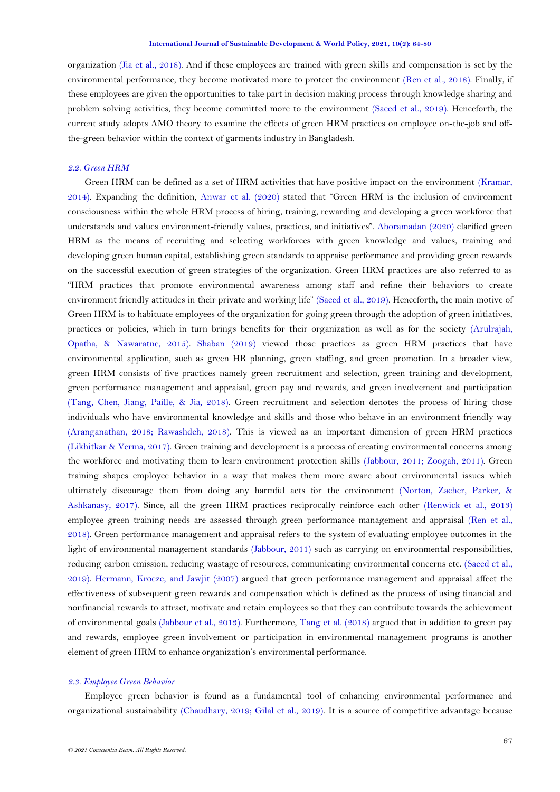organization [\(Jia et al., 2018\)](#page-13-2). And if these employees are trained with green skills and compensation is set by the environmental performance, they become motivated more to protect the environment [\(Ren et al., 2018\)](#page-14-0). Finally, if these employees are given the opportunities to take part in decision making process through knowledge sharing and problem solving activities, they become committed more to the environment [\(Saeed et al., 2019\)](#page-14-1). Henceforth, the current study adopts AMO theory to examine the effects of green HRM practices on employee on-the-job and offthe-green behavior within the context of garments industry in Bangladesh.

### *2.2. Green HRM*

Green HRM can be defined as a set of HRM activities that have positive impact on the environment [\(Kramar,](#page-14-7)  [2014\)](#page-14-7). Expanding the definition, [Anwar et al. \(2020\)](#page-12-6) stated that "Green HRM is the inclusion of environment consciousness within the whole HRM process of hiring, training, rewarding and developing a green workforce that understands and values environment-friendly values, practices, and initiatives". [Aboramadan \(2020\)](#page-11-0) clarified green HRM as the means of recruiting and selecting workforces with green knowledge and values, training and developing green human capital, establishing green standards to appraise performance and providing green rewards on the successful execution of green strategies of the organization. Green HRM practices are also referred to as "HRM practices that promote environmental awareness among staff and refine their behaviors to create environment friendly attitudes in their private and working life" [\(Saeed et al., 2019\)](#page-14-1). Henceforth, the main motive of Green HRM is to habituate employees of the organization for going green through the adoption of green initiatives, practices or policies, which in turn brings benefits for their organization as well as for the society [\(Arulrajah,](#page-12-7)  [Opatha, & Nawaratne, 2015\)](#page-12-7). [Shaban \(2019\)](#page-15-6) viewed those practices as green HRM practices that have environmental application, such as green HR planning, green staffing, and green promotion. In a broader view, green HRM consists of five practices namely green recruitment and selection, green training and development, green performance management and appraisal, green pay and rewards, and green involvement and participation [\(Tang, Chen, Jiang, Paille, & Jia, 2018\)](#page-15-7). Green recruitment and selection denotes the process of hiring those individuals who have environmental knowledge and skills and those who behave in an environment friendly way [\(Aranganathan, 2018;](#page-12-8) [Rawashdeh, 2018\)](#page-14-5). This is viewed as an important dimension of green HRM practices [\(Likhitkar & Verma, 2017\)](#page-14-8). Green training and development is a process of creating environmental concerns among the workforce and motivating them to learn environment protection skills [\(Jabbour, 2011;](#page-13-7) [Zoogah, 2011\)](#page-16-4). Green training shapes employee behavior in a way that makes them more aware about environmental issues which ultimately discourage them from doing any harmful acts for the environment [\(Norton, Zacher, Parker, &](#page-14-9)  [Ashkanasy, 2017\)](#page-14-9). Since, all the green HRM practices reciprocally reinforce each other [\(Renwick et al., 2013\)](#page-14-1) employee green training needs are assessed through green performance management and appraisal [\(Ren et al.,](#page-14-0)  [2018\)](#page-14-0). Green performance management and appraisal refers to the system of evaluating employee outcomes in the light of environmental management standards [\(Jabbour, 2011\)](#page-13-7) such as carrying on environmental responsibilities, reducing carbon emission, reducing wastage of resources, communicating environmental concerns etc. [\(Saeed et al.,](#page-14-1)  [2019\)](#page-14-1). [Hermann, Kroeze, and Jawjit \(2007\)](#page-13-8) argued that green performance management and appraisal affect the effectiveness of subsequent green rewards and compensation which is defined as the process of using financial and nonfinancial rewards to attract, motivate and retain employees so that they can contribute towards the achievement of environmental goals [\(Jabbour et al., 2013\)](#page-13-0). Furthermore, [Tang et al. \(2018\)](#page-15-7) argued that in addition to green pay and rewards, employee green involvement or participation in environmental management programs is another element of green HRM to enhance organization's environmental performance.

## *2.3. Employee Green Behavior*

Employee green behavior is found as a fundamental tool of enhancing environmental performance and organizational sustainability [\(Chaudhary, 2019;](#page-12-1) [Gilal et al., 2019\)](#page-13-4). It is a source of competitive advantage because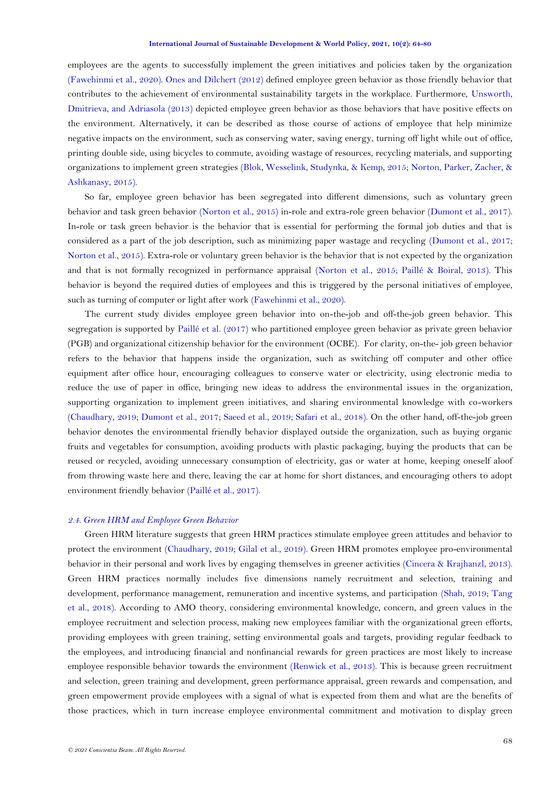employees are the agents to successfully implement the green initiatives and policies taken by the organization [\(Fawehinmi et al., 2020\)](#page-13-3). [Ones and Dilchert \(2012\)](#page-14-10) defined employee green behavior as those friendly behavior that contributes to the achievement of environmental sustainability targets in the workplace. Furthermore, [Unsworth,](#page-15-4)  [Dmitrieva, and Adriasola \(2013\)](#page-15-4) depicted employee green behavior as those behaviors that have positive effects on the environment. Alternatively, it can be described as those course of actions of employee that help minimize negative impacts on the environment, such as conserving water, saving energy, turning off light while out of office, printing double side, using bicycles to commute, avoiding wastage of resources, recycling materials, and supporting organizations to implement green strategies [\(Blok, Wesselink, Studynka, & Kemp, 2015;](#page-12-9) [Norton, Parker, Zacher, &](#page-14-11)  [Ashkanasy, 2015\)](#page-14-11).

So far, employee green behavior has been segregated into different dimensions, such as voluntary green behavior and task green behavior [\(Norton et al., 2015\)](#page-14-11) in-role and extra-role green behavior [\(Dumont et al., 2017\)](#page-12-1). In-role or task green behavior is the behavior that is essential for performing the formal job duties and that is considered as a part of the job description, such as minimizing paper wastage and recycling [\(Dumont et al., 2017;](#page-12-1) [Norton et al., 2015\)](#page-14-11). Extra-role or voluntary green behavior is the behavior that is not expected by the organization and that is not formally recognized in performance appraisal [\(Norton et al., 2015;](#page-14-11) [Paillé & Boiral, 2013\)](#page-14-12). This behavior is beyond the required duties of employees and this is triggered by the personal initiatives of employee, such as turning of computer or light after work [\(Fawehinmi et al., 2020\)](#page-13-3).

The current study divides employee green behavior into on-the-job and off-the-job green behavior. This segregation is supported by [Paillé et al.](#page-14-6) (2017) who partitioned employee green behavior as private green behavior (PGB) and organizational citizenship behavior for the environment (OCBE). For clarity, on-the- job green behavior refers to the behavior that happens inside the organization, such as switching off computer and other office equipment after office hour, encouraging colleagues to conserve water or electricity, using electronic media to reduce the use of paper in office, bringing new ideas to address the environmental issues in the organization, supporting organization to implement green initiatives, and sharing environmental knowledge with co-workers [\(Chaudhary, 2019; Dumont et al., 2017;](#page-12-1) [Saeed et al., 2019; Safari et al., 2018\)](#page-14-1). On the other hand, off-the-job green behavior denotes the environmental friendly behavior displayed outside the organization, such as buying organic fruits and vegetables for consumption, avoiding products with plastic packaging, buying the products that can be reused or recycled, avoiding unnecessary consumption of electricity, gas or water at home, keeping oneself aloof from throwing waste here and there, leaving the car at home for short distances, and encouraging others to adopt environment friendly behavior [\(Paillé et al., 2017\)](#page-14-6).

## *2.4. Green HRM and Employee Green Behavior*

Green HRM literature suggests that green HRM practices stimulate employee green attitudes and behavior to protect the environment [\(Chaudhary, 2019;](#page-12-1) [Gilal et al., 2019\)](#page-13-4). Green HRM promotes employee pro-environmental behavior in their personal and work lives by engaging themselves in greener activities [\(Cincera & Krajhanzl, 2013\)](#page-12-1). Green HRM practices normally includes five dimensions namely recruitment and selection, training and development, performance management, remuneration and incentive systems, and participation [\(Shah, 2019;](#page-15-8) [Tang](#page-15-7)  [et al., 2018\)](#page-15-7). According to AMO theory, considering environmental knowledge, concern, and green values in the employee recruitment and selection process, making new employees familiar with the organizational green efforts, providing employees with green training, setting environmental goals and targets, providing regular feedback to the employees, and introducing financial and nonfinancial rewards for green practices are most likely to increase employee responsible behavior towards the environment [\(Renwick et al., 2013\)](#page-14-1). This is because green recruitment and selection, green training and development, green performance appraisal, green rewards and compensation, and green empowerment provide employees with a signal of what is expected from them and what are the benefits of those practices, which in turn increase employee environmental commitment and motivation to display green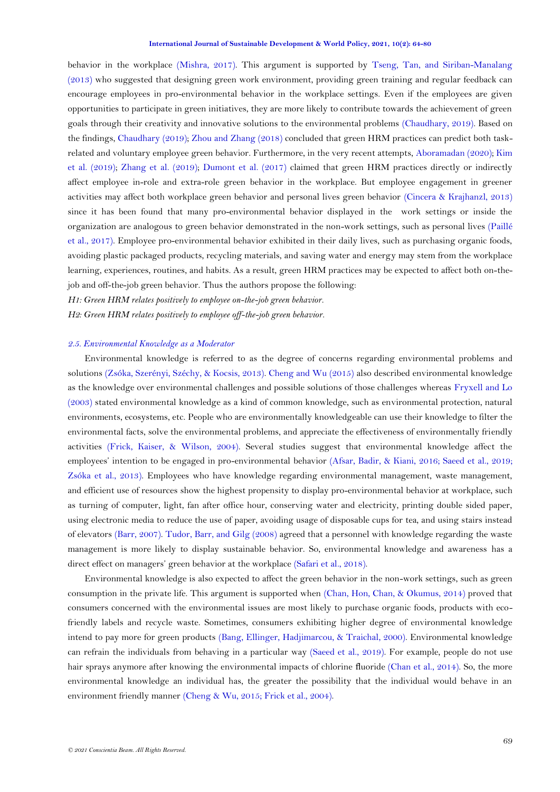behavior in the workplace [\(Mishra, 2017\)](#page-14-13). This argument is supported by [Tseng, Tan, and Siriban-Manalang](#page-15-9)  [\(2013\)](#page-15-9) who suggested that designing green work environment, providing green training and regular feedback can encourage employees in pro-environmental behavior in the workplace settings. Even if the employees are given opportunities to participate in green initiatives, they are more likely to contribute towards the achievement of green goals through their creativity and innovative solutions to the environmental problems [\(Chaudhary, 2019\)](#page-12-1). Based on the findings, [Chaudhary \(2019\)](#page-12-1)[; Zhou and Zhang \(2018\)](#page-16-5) concluded that green HRM practices can predict both taskrelated and voluntary employee green behavior. Furthermore, in the very recent attempts, [Aboramadan \(2020\)](#page-11-0); [Kim](#page-14-2)  [et al. \(2019\)](#page-14-2); [Zhang et al. \(2019\)](#page-16-3); [Dumont et al. \(2017\)](#page-12-1) claimed that green HRM practices directly or indirectly affect employee in-role and extra-role green behavior in the workplace. But employee engagement in greener activities may affect both workplace green behavior and personal lives green behavior [\(Cincera & Krajhanzl, 2013\)](#page-12-1) since it has been found that many pro-environmental behavior displayed in the work settings or inside the organization are analogous to green behavior demonstrated in the non-work settings, such as personal lives [\(Paillé](#page-14-6)  [et al., 2017\)](#page-14-6). Employee pro-environmental behavior exhibited in their daily lives, such as purchasing organic foods, avoiding plastic packaged products, recycling materials, and saving water and energy may stem from the workplace learning, experiences, routines, and habits. As a result, green HRM practices may be expected to affect both on-thejob and off-the-job green behavior. Thus the authors propose the following:

*H1: Green HRM relates positively to employee on-the-job green behavior.*

*H2: Green HRM relates positively to employee off-the-job green behavior.*

## *2.5. Environmental Knowledge as a Moderator*

Environmental knowledge is referred to as the degree of concerns regarding environmental problems and solutions [\(Zsóka, Szerényi, Széchy, & Kocsis, 2013\)](#page-16-6)[. Cheng and Wu \(2015\)](#page-12-1) also described environmental knowledge as the knowledge over environmental challenges and possible solutions of those challenges whereas [Fryxell and Lo](#page-13-9)  [\(2003\)](#page-13-9) stated environmental knowledge as a kind of common knowledge, such as environmental protection, natural environments, ecosystems, etc. People who are environmentally knowledgeable can use their knowledge to filter the environmental facts, solve the environmental problems, and appreciate the effectiveness of environmentally friendly activities [\(Frick, Kaiser, & Wilson, 2004\)](#page-13-10). Several studies suggest that environmental knowledge affect the employees' intention to be engaged in pro-environmental behavior [\(Afsar, Badir, & Kiani,](#page-12-10) 2016; [Saeed et al., 2019;](#page-14-1) [Zsóka et al., 2013\)](#page-16-6). Employees who have knowledge regarding environmental management, waste management, and efficient use of resources show the highest propensity to display pro-environmental behavior at workplace, such as turning of computer, light, fan after office hour, conserving water and electricity, printing double sided paper, using electronic media to reduce the use of paper, avoiding usage of disposable cups for tea, and using stairs instead of elevators [\(Barr, 2007\)](#page-12-11). [Tudor, Barr, and Gilg \(2008\)](#page-15-10) agreed that a personnel with knowledge regarding the waste management is more likely to display sustainable behavior. So, environmental knowledge and awareness has a direct effect on managers' green behavior at the workplace [\(Safari et al., 2018\)](#page-14-1).

Environmental knowledge is also expected to affect the green behavior in the non-work settings, such as green consumption in the private life. This argument is supported when [\(Chan, Hon, Chan, & Okumus, 2014\)](#page-12-1) proved that consumers concerned with the environmental issues are most likely to purchase organic foods, products with ecofriendly labels and recycle waste. Sometimes, consumers exhibiting higher degree of environmental knowledge intend to pay more for green products [\(Bang, Ellinger, Hadjimarcou, & Traichal, 2000\)](#page-12-12). Environmental knowledge can refrain the individuals from behaving in a particular way [\(Saeed et al., 2019\)](#page-14-1). For example, people do not use hair sprays anymore after knowing the environmental impacts of chlorine fluoride [\(Chan et al., 2014\)](#page-12-1). So, the more environmental knowledge an individual has, the greater the possibility that the individual would behave in an environment friendly manner [\(Cheng & Wu, 2015;](#page-12-1) [Frick et al., 2004\)](#page-13-10).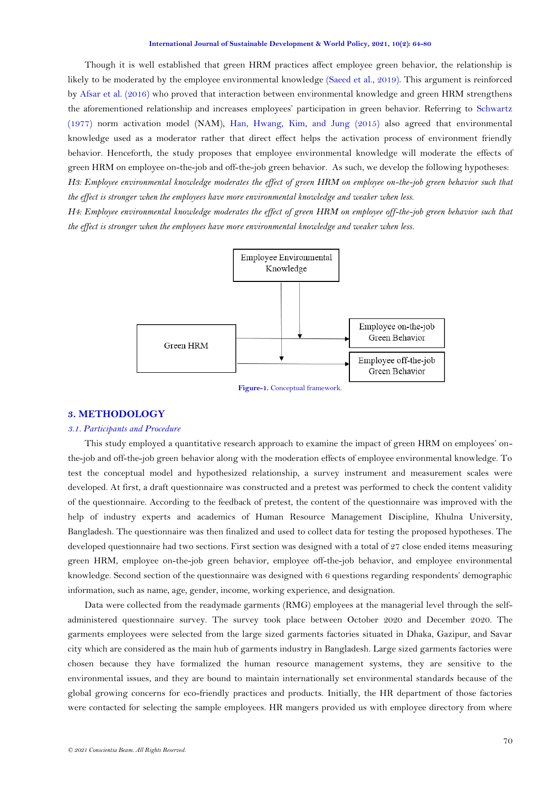Though it is well established that green HRM practices affect employee green behavior, the relationship is likely to be moderated by the employee environmental knowledge [\(Saeed et al., 2019\)](#page-14-1). This argument is reinforced by [Afsar et al. \(2016\)](#page-12-10) who proved that interaction between environmental knowledge and green HRM strengthens the aforementioned relationship and increases employees' participation in green behavior. Referring to [Schwartz](#page-15-11)  [\(1977\)](#page-15-11) norm activation model (NAM), [Han, Hwang, Kim, and Jung \(2015\)](#page-13-11) also agreed that environmental knowledge used as a moderator rather that direct effect helps the activation process of environment friendly behavior. Henceforth, the study proposes that employee environmental knowledge will moderate the effects of green HRM on employee on-the-job and off-the-job green behavior. As such, we develop the following hypotheses: *H3: Employee environmental knowledge moderates the effect of green HRM on employee on-the-job green behavior such that* 

*H4: Employee environmental knowledge moderates the effect of green HRM on employee off-the-job green behavior such that the effect is stronger when the employees have more environmental knowledge and weaker when less.*

*the effect is stronger when the employees have more environmental knowledge and weaker when less.*



**Figure-1.** Conceptual framework.

### <span id="page-6-0"></span>**3. METHODOLOGY**

### *3.1. Participants and Procedure*

This study employed a quantitative research approach to examine the impact of green HRM on employees' onthe-job and off-the-job green behavior along with the moderation effects of employee environmental knowledge. To test the conceptual model and hypothesized relationship, a survey instrument and measurement scales were developed. At first, a draft questionnaire was constructed and a pretest was performed to check the content validity of the questionnaire. According to the feedback of pretest, the content of the questionnaire was improved with the help of industry experts and academics of Human Resource Management Discipline, Khulna University, Bangladesh. The questionnaire was then finalized and used to collect data for testing the proposed hypotheses. The developed questionnaire had two sections. First section was designed with a total of 27 close ended items measuring green HRM, employee on-the-job green behavior, employee off-the-job behavior, and employee environmental knowledge. Second section of the questionnaire was designed with 6 questions regarding respondents' demographic information, such as name, age, gender, income, working experience, and designation.

Data were collected from the readymade garments (RMG) employees at the managerial level through the selfadministered questionnaire survey. The survey took place between October 2020 and December 2020. The garments employees were selected from the large sized garments factories situated in Dhaka, Gazipur, and Savar city which are considered as the main hub of garments industry in Bangladesh. Large sized garments factories were chosen because they have formalized the human resource management systems, they are sensitive to the environmental issues, and they are bound to maintain internationally set environmental standards because of the global growing concerns for eco-friendly practices and products. Initially, the HR department of those factories were contacted for selecting the sample employees. HR mangers provided us with employee directory from where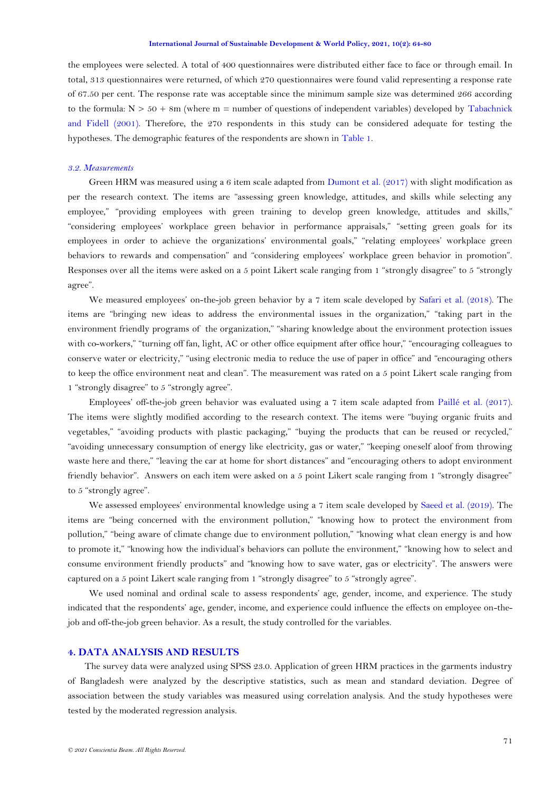#### **International Journal of Sustainable Development & World Policy, 2021, 10(2): 64-80**

the employees were selected. A total of 400 questionnaires were distributed either face to face or through email. In total, 313 questionnaires were returned, of which 270 questionnaires were found valid representing a response rate of 67.50 per cent. The response rate was acceptable since the minimum sample size was determined 266 according to the formula:  $N > 50 + 8m$  (where  $m =$  number of questions of independent variables) developed by Tabachnick [and Fidell \(2001\)](#page-15-12). Therefore, the 270 respondents in this study can be considered adequate for testing the hypotheses. The demographic features of the respondents are shown in [Table 1.](#page-8-0) 

### *3.2. Measurements*

Green HRM was measured using a 6 item scale adapted from [Dumont et al. \(2017\)](#page-12-1) with slight modification as per the research context. The items are "assessing green knowledge, attitudes, and skills while selecting any employee," "providing employees with green training to develop green knowledge, attitudes and skills," "considering employees' workplace green behavior in performance appraisals," "setting green goals for its employees in order to achieve the organizations' environmental goals," "relating employees' workplace green behaviors to rewards and compensation" and "considering employees' workplace green behavior in promotion". Responses over all the items were asked on a 5 point Likert scale ranging from 1 "strongly disagree" to 5 "strongly agree".

We measured employees' on-the-job green behavior by a 7 item scale developed by [Safari et al. \(2018\)](#page-14-1). The items are "bringing new ideas to address the environmental issues in the organization," "taking part in the environment friendly programs of the organization," "sharing knowledge about the environment protection issues with co-workers," "turning off fan, light, AC or other office equipment after office hour," "encouraging colleagues to conserve water or electricity," "using electronic media to reduce the use of paper in office" and "encouraging others to keep the office environment neat and clean". The measurement was rated on a 5 point Likert scale ranging from 1 "strongly disagree" to 5 "strongly agree".

Employees' off-the-job green behavior was evaluated using a 7 item scale adapted from [Paillé et al. \(2017\)](#page-14-6). The items were slightly modified according to the research context. The items were "buying organic fruits and vegetables," "avoiding products with plastic packaging," "buying the products that can be reused or recycled," "avoiding unnecessary consumption of energy like electricity, gas or water," "keeping oneself aloof from throwing waste here and there," "leaving the car at home for short distances" and "encouraging others to adopt environment friendly behavior". Answers on each item were asked on a 5 point Likert scale ranging from 1 "strongly disagree" to 5 "strongly agree".

We assessed employees' environmental knowledge using a 7 item scale developed by [Saeed et al. \(2019\)](#page-14-1). The items are "being concerned with the environment pollution," "knowing how to protect the environment from pollution," "being aware of climate change due to environment pollution," "knowing what clean energy is and how to promote it," "knowing how the individual's behaviors can pollute the environment," "knowing how to select and consume environment friendly products" and "knowing how to save water, gas or electricity". The answers were captured on a 5 point Likert scale ranging from 1 "strongly disagree" to 5 "strongly agree".

We used nominal and ordinal scale to assess respondents' age, gender, income, and experience. The study indicated that the respondents' age, gender, income, and experience could influence the effects on employee on-thejob and off-the-job green behavior. As a result, the study controlled for the variables.

## **4. DATA ANALYSIS AND RESULTS**

The survey data were analyzed using SPSS 23.0. Application of green HRM practices in the garments industry of Bangladesh were analyzed by the descriptive statistics, such as mean and standard deviation. Degree of association between the study variables was measured using correlation analysis. And the study hypotheses were tested by the moderated regression analysis.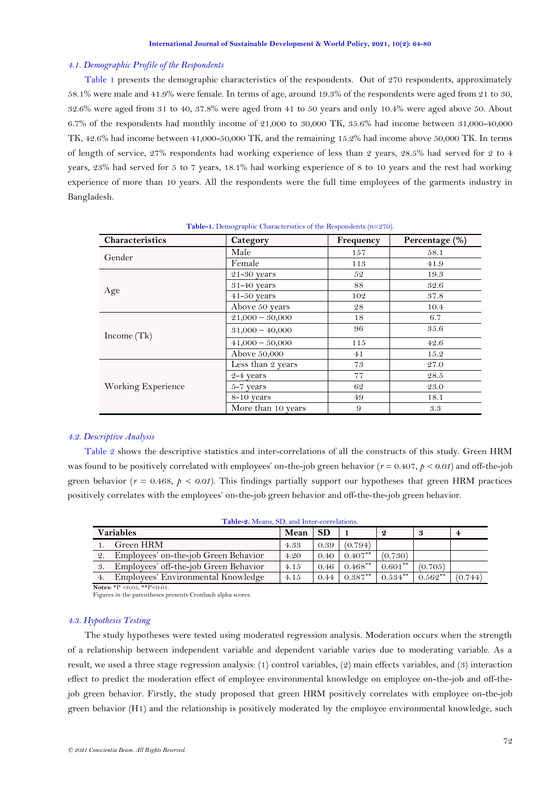## *4.1. Demographic Profile of the Respondents*

[Table 1](#page-8-0) presents the demographic characteristics of the respondents. Out of 270 respondents, approximately 58.1% were male and 41.9% were female. In terms of age, around 19.3% of the respondents were aged from 21 to 30, 32.6% were aged from 31 to 40, 37.8% were aged from 41 to 50 years and only 10.4% were aged above 50. About 6.7% of the respondents had monthly income of 21,000 to 30,000 TK, 35.6% had income between 31,000-40,000 TK, 42.6% had income between 41,000-50,000 TK, and the remaining 15.2% had income above 50,000 TK. In terms of length of service, 27% respondents had working experience of less than 2 years, 28.5% had served for 2 to 4 years, 23% had served for 5 to 7 years, 18.1% had working experience of 8 to 10 years and the rest had working experience of more than 10 years. All the respondents were the full time employees of the garments industry in Bangladesh.

<span id="page-8-0"></span>

| Characteristics    | Category           | Frequency | Percentage (%) |
|--------------------|--------------------|-----------|----------------|
| Gender             | Male               | 157       | 58.1           |
|                    | Female             | 113       | 41.9           |
|                    | $21-30$ years      | 52        | 19.3           |
|                    | 31-40 years        | 88        | 32.6           |
| Age                | $41-50$ years      | 102       | 37.8           |
|                    | Above 50 years     | 28        | 10.4           |
| Income $(Tk)$      | $21,000 - 30,000$  | 18        | 6.7            |
|                    | $31,000 - 40,000$  | 96        | 35.6           |
|                    | $41,000 - 50,000$  | 115       | 42.6           |
|                    | Above 50,000       | 41        | 15.2           |
| Working Experience | Less than 2 years  | 73        | 27.0           |
|                    | 2-4 years          | 77        | 28.5           |
|                    | $5-7$ years        | 62        | 23.0           |
|                    | 8-10 years         | 49        | 18.1           |
|                    | More than 10 years | 9         | 3.3            |

#### **Table-1.** Demographic Characteristics of the Respondents (n=270).

## *4.2. Descriptive Analysis*

[Table 2](#page-8-1) shows the descriptive statistics and inter-correlations of all the constructs of this study. Green HRM was found to be positively correlated with employees' on-the-job green behavior  $(r = 0.407, p < 0.01)$  and off-the-job green behavior ( $r = 0.468$ ,  $p < 0.01$ ). This findings partially support our hypotheses that green HRM practices positively correlates with the employees' on-the-job green behavior and off-the-the-job green behavior.

<span id="page-8-1"></span>

| Table-2. Means, SD, and Inter-correlations. |                                       |      |           |            |            |           |                |
|---------------------------------------------|---------------------------------------|------|-----------|------------|------------|-----------|----------------|
| <b>Variables</b>                            |                                       | Mean | <b>SD</b> |            |            | 3         | $\overline{4}$ |
| $\mathbf{1}$ .                              | Green HRM                             | 4.33 | 0.39      | (0.794)    |            |           |                |
| 2.                                          | Employees' on-the-job Green Behavior  | 4.20 | 0.40      | $0.407***$ | (0.730)    |           |                |
| 3.                                          | Employees' off-the-job Green Behavior | 4.15 | 0.46      | $0.468***$ | $0.601***$ | (0.705)   |                |
| 4.                                          | Employees' Environmental Knowledge    | 4.15 | 0.44      | $0.387***$ | $0.534***$ | $0.562**$ | (0.744)        |

**Notes:**  $*P < 0.05$ ,  $*P < 0.01$ .

Figures in the parentheses presents Cronbach alpha scores.

### *4.3. Hypothesis Testing*

The study hypotheses were tested using moderated regression analysis. Moderation occurs when the strength of a relationship between independent variable and dependent variable varies due to moderating variable. As a result, we used a three stage regression analysis: (1) control variables, (2) main effects variables, and (3) interaction effect to predict the moderation effect of employee environmental knowledge on employee on-the-job and off-thejob green behavior. Firstly, the study proposed that green HRM positively correlates with employee on-the-job green behavior (H1) and the relationship is positively moderated by the employee environmental knowledge, such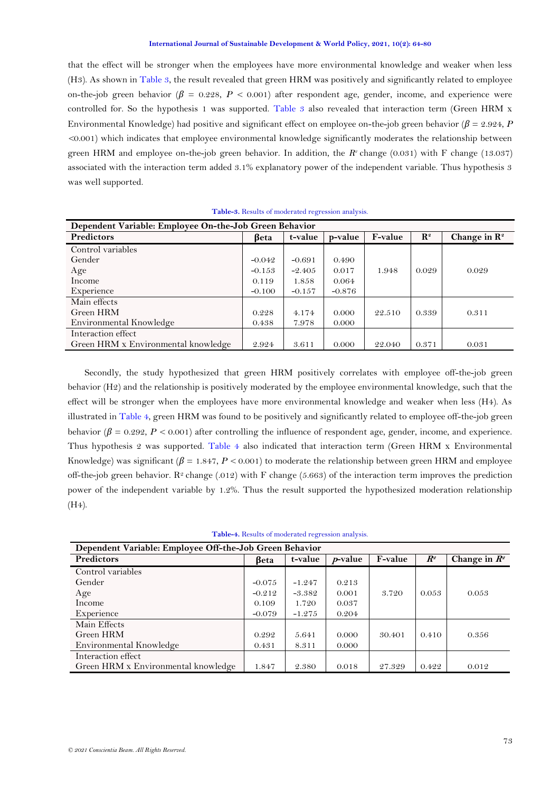that the effect will be stronger when the employees have more environmental knowledge and weaker when less (H3). As shown in [Table 3,](#page-9-0) the result revealed that green HRM was positively and significantly related to employee on-the-job green behavior  $(\beta = 0.228, P < 0.001)$  after respondent age, gender, income, and experience were controlled for. So the hypothesis 1 was supported. [Table 3](#page-9-0) also revealed that interaction term (Green HRM x Environmental Knowledge) had positive and significant effect on employee on-the-job green behavior (*β* = 2.924, *P <*0.001) which indicates that employee environmental knowledge significantly moderates the relationship between green HRM and employee on-the-job green behavior. In addition, the *R 2* change (0.031) with F change (13.037) associated with the interaction term added 3.1% explanatory power of the independent variable. Thus hypothesis 3 was well supported.

<span id="page-9-0"></span>

| Dependent Variable: Employee On-the-Job Green Behavior |             |          |          |         |                |                          |  |
|--------------------------------------------------------|-------------|----------|----------|---------|----------------|--------------------------|--|
| <b>Predictors</b>                                      | <b>Beta</b> | t-value  | p-value  | F-value | $\mathbf{R}^2$ | Change in $\mathbb{R}^2$ |  |
| Control variables                                      |             |          |          |         |                |                          |  |
| Gender                                                 | $-0.042$    | $-0.691$ | 0.490    |         |                |                          |  |
| Age                                                    | $-0.153$    | $-2.405$ | 0.017    | 1.948   | 0.029          | 0.029                    |  |
| Income                                                 | 0.119       | 1.858    | 0.064    |         |                |                          |  |
| Experience                                             | $-0.100$    | $-0.157$ | $-0.876$ |         |                |                          |  |
| Main effects                                           |             |          |          |         |                |                          |  |
| Green HRM                                              | 0.228       | 4.174    | 0.000    | 22.510  | 0.339          | 0.311                    |  |
| Environmental Knowledge                                | 0.438       | 7.978    | 0.000    |         |                |                          |  |
| Interaction effect                                     |             |          |          |         |                |                          |  |
| Green HRM x Environmental knowledge                    | 2.924       | 3.611    | 0.000    | 22.040  | 0.371          | 0.031                    |  |

# **Table-3.** Results of moderated regression analysis.

Secondly, the study hypothesized that green HRM positively correlates with employee off-the-job green behavior (H2) and the relationship is positively moderated by the employee environmental knowledge, such that the effect will be stronger when the employees have more environmental knowledge and weaker when less (H4). As illustrated in [Table 4,](#page-9-1) green HRM was found to be positively and significantly related to employee off-the-job green behavior ( $\beta = 0.292$ ,  $P < 0.001$ ) after controlling the influence of respondent age, gender, income, and experience. Thus hypothesis 2 was supported. [Table 4](#page-9-1) also indicated that interaction term (Green HRM x Environmental Knowledge) was significant (*β* = 1.847, *P <* 0.001) to moderate the relationship between green HRM and employee off-the-job green behavior.  $\mathbb{R}^2$  change (.012) with F change (5.663) of the interaction term improves the prediction power of the independent variable by 1.2%. Thus the result supported the hypothesized moderation relationship (H4).

| Table-4. Results of moderated regression analysis. |  |  |  |
|----------------------------------------------------|--|--|--|
|----------------------------------------------------|--|--|--|

<span id="page-9-1"></span>

| Dependent Variable: Employee Off-the-Job Green Behavior |             |          |            |                |                            |                 |  |
|---------------------------------------------------------|-------------|----------|------------|----------------|----------------------------|-----------------|--|
| Predictors                                              | <b>Beta</b> | t-value  | $p$ -value | <b>F-value</b> | $R^{\scriptscriptstyle g}$ | Change in $R^2$ |  |
| Control variables                                       |             |          |            |                |                            |                 |  |
| Gender                                                  | $-0.075$    | $-1.247$ | 0.213      |                |                            |                 |  |
| Age                                                     | $-0.212$    | $-3.382$ | 0.001      | 3.720          | 0.053                      | 0.053           |  |
| Income                                                  | 0.109       | 1.720    | 0.037      |                |                            |                 |  |
| Experience                                              | $-0.079$    | $-1.275$ | 0.204      |                |                            |                 |  |
| Main Effects                                            |             |          |            |                |                            |                 |  |
| Green HRM                                               | 0.292       | 5.641    | 0.000      | 30.401         | 0.410                      | 0.356           |  |
| Environmental Knowledge                                 | 0.431       | 8.311    | 0.000      |                |                            |                 |  |
| Interaction effect                                      |             |          |            |                |                            |                 |  |
| Green HRM x Environmental knowledge                     | 1.847       | 2.380    | 0.018      | 27.329         | 0.422                      | 0.012           |  |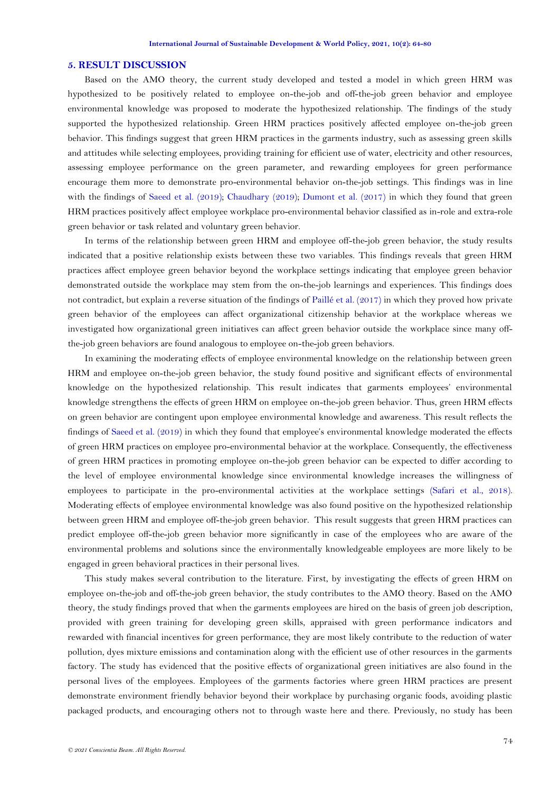### **5. RESULT DISCUSSION**

Based on the AMO theory, the current study developed and tested a model in which green HRM was hypothesized to be positively related to employee on-the-job and off-the-job green behavior and employee environmental knowledge was proposed to moderate the hypothesized relationship. The findings of the study supported the hypothesized relationship. Green HRM practices positively affected employee on-the-job green behavior. This findings suggest that green HRM practices in the garments industry, such as assessing green skills and attitudes while selecting employees, providing training for efficient use of water, electricity and other resources, assessing employee performance on the green parameter, and rewarding employees for green performance encourage them more to demonstrate pro-environmental behavior on-the-job settings. This findings was in line with the findings of [Saeed et al. \(2019\)](#page-14-1); [Chaudhary \(2019\)](#page-12-1); [Dumont et al. \(2017\)](#page-12-1) in which they found that green HRM practices positively affect employee workplace pro-environmental behavior classified as in-role and extra-role green behavior or task related and voluntary green behavior.

In terms of the relationship between green HRM and employee off-the-job green behavior, the study results indicated that a positive relationship exists between these two variables. This findings reveals that green HRM practices affect employee green behavior beyond the workplace settings indicating that employee green behavior demonstrated outside the workplace may stem from the on-the-job learnings and experiences. This findings does not contradict, but explain a reverse situation of the findings of [Paillé et al. \(2017\)](#page-14-6) in which they proved how private green behavior of the employees can affect organizational citizenship behavior at the workplace whereas we investigated how organizational green initiatives can affect green behavior outside the workplace since many offthe-job green behaviors are found analogous to employee on-the-job green behaviors.

In examining the moderating effects of employee environmental knowledge on the relationship between green HRM and employee on-the-job green behavior, the study found positive and significant effects of environmental knowledge on the hypothesized relationship. This result indicates that garments employees' environmental knowledge strengthens the effects of green HRM on employee on-the-job green behavior. Thus, green HRM effects on green behavior are contingent upon employee environmental knowledge and awareness. This result reflects the findings of [Saeed et al. \(2019\)](#page-14-1) in which they found that employee's environmental knowledge moderated the effects of green HRM practices on employee pro-environmental behavior at the workplace. Consequently, the effectiveness of green HRM practices in promoting employee on-the-job green behavior can be expected to differ according to the level of employee environmental knowledge since environmental knowledge increases the willingness of employees to participate in the pro-environmental activities at the workplace settings [\(Safari et al., 2018\)](#page-14-1). Moderating effects of employee environmental knowledge was also found positive on the hypothesized relationship between green HRM and employee off-the-job green behavior. This result suggests that green HRM practices can predict employee off-the-job green behavior more significantly in case of the employees who are aware of the environmental problems and solutions since the environmentally knowledgeable employees are more likely to be engaged in green behavioral practices in their personal lives.

This study makes several contribution to the literature. First, by investigating the effects of green HRM on employee on-the-job and off-the-job green behavior, the study contributes to the AMO theory. Based on the AMO theory, the study findings proved that when the garments employees are hired on the basis of green job description, provided with green training for developing green skills, appraised with green performance indicators and rewarded with financial incentives for green performance, they are most likely contribute to the reduction of water pollution, dyes mixture emissions and contamination along with the efficient use of other resources in the garments factory. The study has evidenced that the positive effects of organizational green initiatives are also found in the personal lives of the employees. Employees of the garments factories where green HRM practices are present demonstrate environment friendly behavior beyond their workplace by purchasing organic foods, avoiding plastic packaged products, and encouraging others not to through waste here and there. Previously, no study has been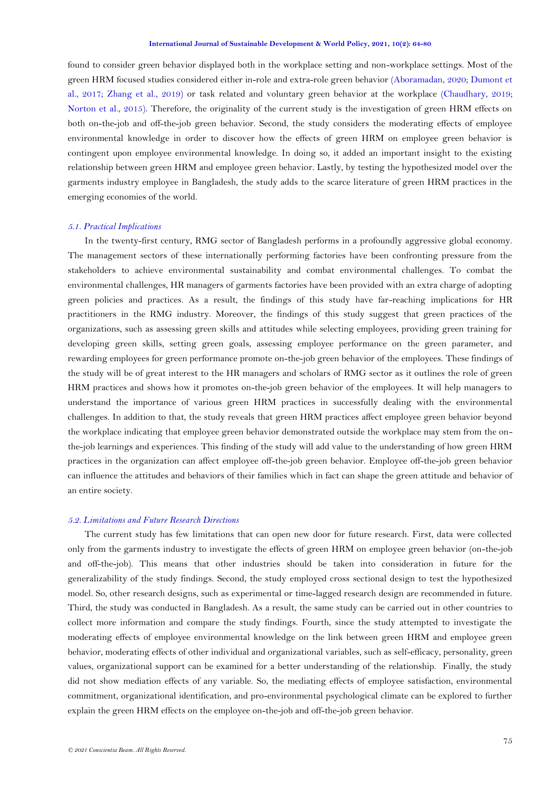<span id="page-11-0"></span>found to consider green behavior displayed both in the workplace setting and non-workplace settings. Most of the green HRM focused studies considered either in-role and extra-role green behavior [\(Aboramadan, 2020;](#page-11-0) [Dumont et](#page-12-1)  [al., 2017;](#page-12-1) [Zhang et al., 2019\)](#page-16-3) or task related and voluntary green behavior at the workplace [\(Chaudhary, 2019;](#page-12-1) [Norton et al., 2015\)](#page-14-11). Therefore, the originality of the current study is the investigation of green HRM effects on both on-the-job and off-the-job green behavior. Second, the study considers the moderating effects of employee environmental knowledge in order to discover how the effects of green HRM on employee green behavior is contingent upon employee environmental knowledge. In doing so, it added an important insight to the existing relationship between green HRM and employee green behavior. Lastly, by testing the hypothesized model over the garments industry employee in Bangladesh, the study adds to the scarce literature of green HRM practices in the emerging economies of the world.

### *5.1. Practical Implications*

In the twenty-first century, RMG sector of Bangladesh performs in a profoundly aggressive global economy. The management sectors of these internationally performing factories have been confronting pressure from the stakeholders to achieve environmental sustainability and combat environmental challenges. To combat the environmental challenges, HR managers of garments factories have been provided with an extra charge of adopting green policies and practices. As a result, the findings of this study have far-reaching implications for HR practitioners in the RMG industry. Moreover, the findings of this study suggest that green practices of the organizations, such as assessing green skills and attitudes while selecting employees, providing green training for developing green skills, setting green goals, assessing employee performance on the green parameter, and rewarding employees for green performance promote on-the-job green behavior of the employees. These findings of the study will be of great interest to the HR managers and scholars of RMG sector as it outlines the role of green HRM practices and shows how it promotes on-the-job green behavior of the employees. It will help managers to understand the importance of various green HRM practices in successfully dealing with the environmental challenges. In addition to that, the study reveals that green HRM practices affect employee green behavior beyond the workplace indicating that employee green behavior demonstrated outside the workplace may stem from the onthe-job learnings and experiences. This finding of the study will add value to the understanding of how green HRM practices in the organization can affect employee off-the-job green behavior. Employee off-the-job green behavior can influence the attitudes and behaviors of their families which in fact can shape the green attitude and behavior of an entire society.

## *5.2. Limitations and Future Research Directions*

The current study has few limitations that can open new door for future research. First, data were collected only from the garments industry to investigate the effects of green HRM on employee green behavior (on-the-job and off-the-job). This means that other industries should be taken into consideration in future for the generalizability of the study findings. Second, the study employed cross sectional design to test the hypothesized model. So, other research designs, such as experimental or time-lagged research design are recommended in future. Third, the study was conducted in Bangladesh. As a result, the same study can be carried out in other countries to collect more information and compare the study findings. Fourth, since the study attempted to investigate the moderating effects of employee environmental knowledge on the link between green HRM and employee green behavior, moderating effects of other individual and organizational variables, such as self-efficacy, personality, green values, organizational support can be examined for a better understanding of the relationship. Finally, the study did not show mediation effects of any variable. So, the mediating effects of employee satisfaction, environmental commitment, organizational identification, and pro-environmental psychological climate can be explored to further explain the green HRM effects on the employee on-the-job and off-the-job green behavior.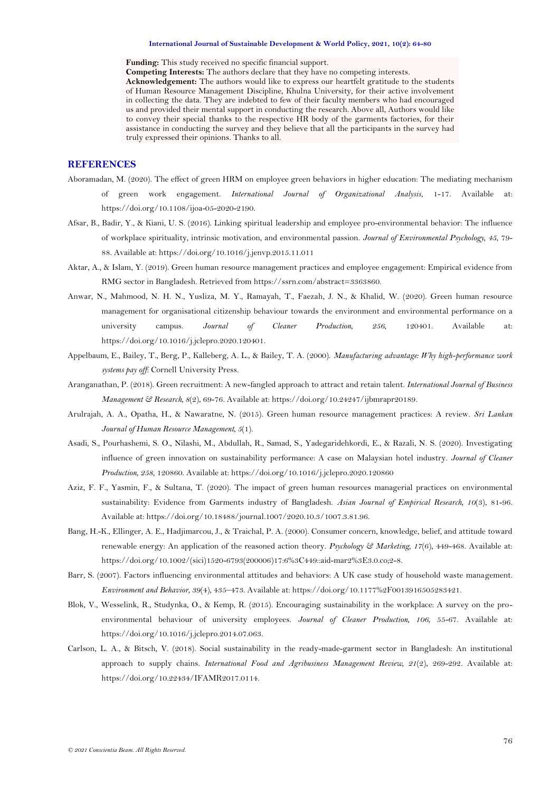#### **International Journal of Sustainable Development & World Policy, 2021, 10(2): 64-80**

**Funding:** This study received no specific financial support.

<span id="page-12-1"></span>**Competing Interests:** The authors declare that they have no competing interests.

**Acknowledgement:** The authors would like to express our heartfelt gratitude to the students of Human Resource Management Discipline, Khulna University, for their active involvement in collecting the data. They are indebted to few of their faculty members who had encouraged us and provided their mental support in conducting the research. Above all, Authors would like to convey their special thanks to the respective HR body of the garments factories, for their assistance in conducting the survey and they believe that all the participants in the survey had truly expressed their opinions. Thanks to all.

# **REFERENCES**

- Aboramadan, M. (2020). The effect of green HRM on employee green behaviors in higher education: The mediating mechanism of green work engagement. *International Journal of Organizational Analysis*, 1-17. Available at: https://doi.org/10.1108/ijoa-05-2020-2190.
- <span id="page-12-10"></span>Afsar, B., Badir, Y., & Kiani, U. S. (2016). Linking spiritual leadership and employee pro-environmental behavior: The influence of workplace spirituality, intrinsic motivation, and environmental passion. *Journal of Environmental Psychology, 45*, 79- 88. Available at: https://doi.org/10.1016/j.jenvp.2015.11.011
- <span id="page-12-2"></span>Aktar, A., & Islam, Y. (2019). Green human resource management practices and employee engagement: Empirical evidence from RMG sector in Bangladesh. Retrieved from https://ssrn.com/abstract=3363860.
- <span id="page-12-6"></span>Anwar, N., Mahmood, N. H. N., Yusliza, M. Y., Ramayah, T., Faezah, J. N., & Khalid, W. (2020). Green human resource management for organisational citizenship behaviour towards the environment and environmental performance on a university campus. *Journal of Cleaner Production, 256*, 120401. Available at: https://doi.org/10.1016/j.jclepro.2020.120401.
- <span id="page-12-5"></span>Appelbaum, E., Bailey, T., Berg, P., Kalleberg, A. L., & Bailey, T. A. (2000). *Manufacturing advantage: Why high-performance work systems pay off*: Cornell University Press.
- <span id="page-12-8"></span>Aranganathan, P. (2018). Green recruitment: A new-fangled approach to attract and retain talent. *International Journal of Business Management & Research, 8*(2), 69-76. Available at: https://doi.org/10.24247/ijbmrapr20189.
- <span id="page-12-7"></span>Arulrajah, A. A., Opatha, H., & Nawaratne, N. (2015). Green human resource management practices: A review. *Sri Lankan Journal of Human Resource Management, 5*(1).
- <span id="page-12-0"></span>Asadi, S., Pourhashemi, S. O., Nilashi, M., Abdullah, R., Samad, S., Yadegaridehkordi, E., & Razali, N. S. (2020). Investigating influence of green innovation on sustainability performance: A case on Malaysian hotel industry. *Journal of Cleaner Production, 258*, 120860. Available at: https://doi.org/10.1016/j.jclepro.2020.120860
- <span id="page-12-4"></span>Aziz, F. F., Yasmin, F., & Sultana, T. (2020). The impact of green human resources managerial practices on environmental sustainability: Evidence from Garments industry of Bangladesh. *Asian Journal of Empirical Research, 10*(3), 81-96. Available at: https://doi.org/10.18488/journal.1007/2020.10.3/1007.3.81.96.
- <span id="page-12-12"></span>Bang, H.-K., Ellinger, A. E., Hadjimarcou, J., & Traichal, P. A. (2000). Consumer concern, knowledge, belief, and attitude toward renewable energy: An application of the reasoned action theory. *Psychology & Marketing, 17*(6), 449-468. Available at: https://doi.org/10.1002/(sici)1520-6793(200006)17:6%3C449::aid-mar2%3E3.0.co;2-8.
- <span id="page-12-11"></span>Barr, S. (2007). Factors influencing environmental attitudes and behaviors: A UK case study of household waste management. *Environment and Behavior, 39*(4), 435–473. Available at: https://doi.org/10.1177%2F0013916505283421.
- <span id="page-12-9"></span>Blok, V., Wesselink, R., Studynka, O., & Kemp, R. (2015). Encouraging sustainability in the workplace: A survey on the proenvironmental behaviour of university employees. *Journal of Cleaner Production, 106*, 55-67. Available at: https://doi.org/10.1016/j.jclepro.2014.07.063.
- <span id="page-12-3"></span>Carlson, L. A., & Bitsch, V. (2018). Social sustainability in the ready-made-garment sector in Bangladesh: An institutional approach to supply chains. *International Food and Agribusiness Management Review, 21*(2), 269-292. Available at: https://doi.org/10.22434/IFAMR2017.0114.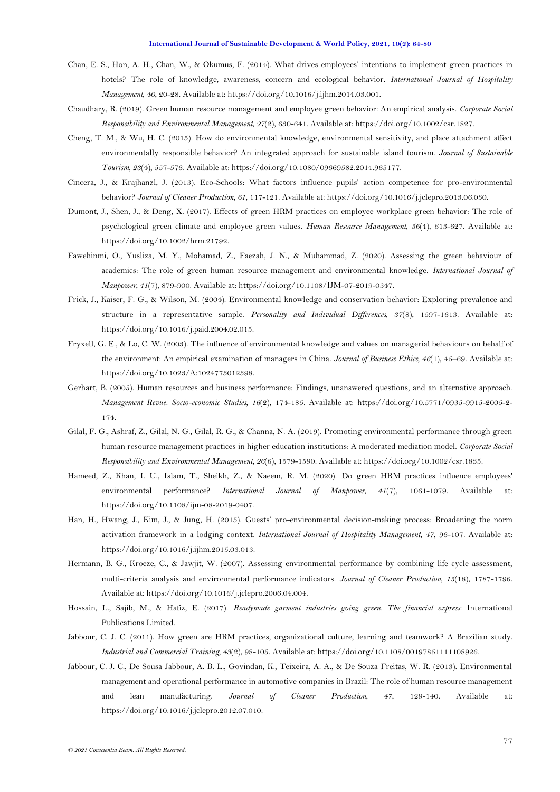- <span id="page-13-2"></span>Chan, E. S., Hon, A. H., Chan, W., & Okumus, F. (2014). What drives employees' intentions to implement green practices in hotels? The role of knowledge, awareness, concern and ecological behavior. *International Journal of Hospitality Management, 40*, 20-28. Available at: https://doi.org/10.1016/j.ijhm.2014.03.001.
- Chaudhary, R. (2019). Green human resource management and employee green behavior: An empirical analysis. *Corporate Social Responsibility and Environmental Management, 27*(2), 630-641. Available at: https://doi.org/10.1002/csr.1827.
- Cheng, T. M., & Wu, H. C. (2015). How do environmental knowledge, environmental sensitivity, and place attachment affect environmentally responsible behavior? An integrated approach for sustainable island tourism. *Journal of Sustainable Tourism, 23*(4), 557-576. Available at: https://doi.org/10.1080/09669582.2014.965177.
- Cincera, J., & Krajhanzl, J. (2013). Eco-Schools: What factors influence pupils' action competence for pro-environmental behavior? *Journal of Cleaner Production, 61*, 117-121. Available at: https://doi.org/10.1016/j.jclepro.2013.06.030.
- Dumont, J., Shen, J., & Deng, X. (2017). Effects of green HRM practices on employee workplace green behavior: The role of psychological green climate and employee green values. *Human Resource Management, 56*(4), 613-627. Available at: https://doi.org/10.1002/hrm.21792.
- <span id="page-13-3"></span>Fawehinmi, O., Yusliza, M. Y., Mohamad, Z., Faezah, J. N., & Muhammad, Z. (2020). Assessing the green behaviour of academics: The role of green human resource management and environmental knowledge. *International Journal of Manpower, 41*(7), 879-900. Available at: https://doi.org/10.1108/IJM-07-2019-0347.
- <span id="page-13-10"></span>Frick, J., Kaiser, F. G., & Wilson, M. (2004). Environmental knowledge and conservation behavior: Exploring prevalence and structure in a representative sample. *Personality and Individual Differences, 37*(8), 1597-1613. Available at: https://doi.org/10.1016/j.paid.2004.02.015.
- <span id="page-13-9"></span>Fryxell, G. E., & Lo, C. W. (2003). The influence of environmental knowledge and values on managerial behaviours on behalf of the environment: An empirical examination of managers in China. *Journal of Business Ethics, 46*(1), 45–69. Available at: https://doi.org/10.1023/A:1024773012398.
- <span id="page-13-6"></span>Gerhart, B. (2005). Human resources and business performance: Findings, unanswered questions, and an alternative approach. *Management Revue. Socio-economic Studies, 16*(2), 174-185. Available at: https://doi.org/10.5771/0935-9915-2005-2- 174.
- <span id="page-13-4"></span>Gilal, F. G., Ashraf, Z., Gilal, N. G., Gilal, R. G., & Channa, N. A. (2019). Promoting environmental performance through green human resource management practices in higher education institutions: A moderated mediation model. *Corporate Social Responsibility and Environmental Management, 26*(6), 1579-1590. Available at: https://doi.org/10.1002/csr.1835.
- <span id="page-13-1"></span>Hameed, Z., Khan, I. U., Islam, T., Sheikh, Z., & Naeem, R. M. (2020). Do green HRM practices influence employees' environmental performance? *International Journal of Manpower, 41*(7), 1061-1079. Available at: https://doi.org/10.1108/ijm-08-2019-0407.
- <span id="page-13-11"></span>Han, H., Hwang, J., Kim, J., & Jung, H. (2015). Guests' pro-environmental decision-making process: Broadening the norm activation framework in a lodging context. *International Journal of Hospitality Management, 47*, 96-107. Available at: https://doi.org/10.1016/j.ijhm.2015.03.013.
- <span id="page-13-8"></span>Hermann, B. G., Kroeze, C., & Jawjit, W. (2007). Assessing environmental performance by combining life cycle assessment, multi-criteria analysis and environmental performance indicators. *Journal of Cleaner Production, 15*(18), 1787-1796. Available at: https://doi.org/10.1016/j.jclepro.2006.04.004.
- <span id="page-13-5"></span>Hossain, L., Sajib, M., & Hafiz, E. (2017). *Readymade garment industries going green. The financial express*: International Publications Limited.
- <span id="page-13-7"></span>Jabbour, C. J. C. (2011). How green are HRM practices, organizational culture, learning and teamwork? A Brazilian study. *Industrial and Commercial Training, 43*(2), 98-105. Available at: https://doi.org/10.1108/00197851111108926.
- <span id="page-13-0"></span>Jabbour, C. J. C., De Sousa Jabbour, A. B. L., Govindan, K., Teixeira, A. A., & De Souza Freitas, W. R. (2013). Environmental management and operational performance in automotive companies in Brazil: The role of human resource management and lean manufacturing. *Journal of Cleaner Production, 47*, 129-140. Available at: https://doi.org/10.1016/j.jclepro.2012.07.010.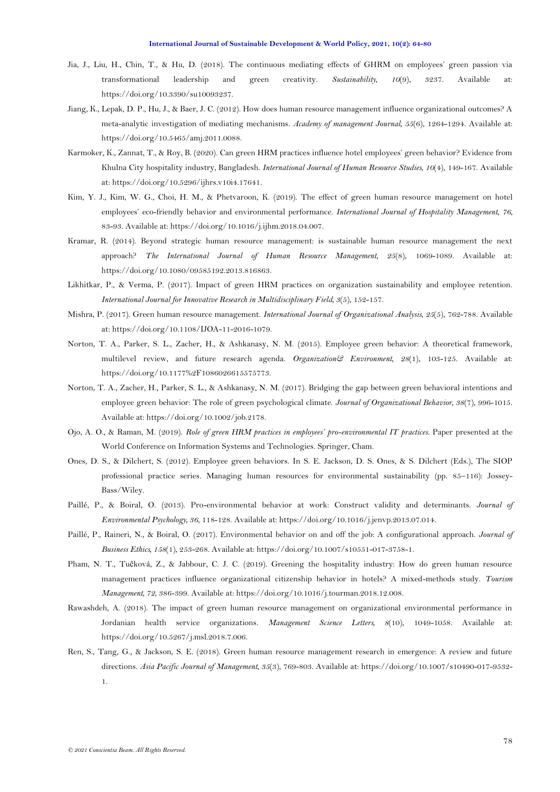- <span id="page-14-1"></span>Jia, J., Liu, H., Chin, T., & Hu, D. (2018). The continuous mediating effects of GHRM on employees' green passion via transformational leadership and green creativity. *Sustainability, 10*(9), 3237. Available at: https://doi.org/10.3390/su10093237.
- Jiang, K., Lepak, D. P., Hu, J., & Baer, J. C. (2012). How does human resource management influence organizational outcomes? A meta-analytic investigation of mediating mechanisms. *Academy of management Journal, 55*(6), 1264-1294. Available at: https://doi.org/10.5465/amj.2011.0088.
- Karmoker, K., Zannat, T., & Roy, B. (2020). Can green HRM practices influence hotel employees' green behavior? Evidence from Khulna City hospitality industry, Bangladesh. *International Journal of Human Resource Studies, 10*(4), 149-167. Available at: https://doi.org/10.5296/ijhrs.v10i4.17641.
- <span id="page-14-2"></span>Kim, Y. J., Kim, W. G., Choi, H. M., & Phetvaroon, K. (2019). The effect of green human resource management on hotel employees' eco-friendly behavior and environmental performance. *International Journal of Hospitality Management, 76*, 83-93. Available at: https://doi.org/10.1016/j.ijhm.2018.04.007.
- <span id="page-14-7"></span>Kramar, R. (2014). Beyond strategic human resource management: is sustainable human resource management the next approach? *The International Journal of Human Resource Management, 25*(8), 1069-1089. Available at: https://doi.org/10.1080/09585192.2013.816863.
- <span id="page-14-8"></span>Likhitkar, P., & Verma, P. (2017). Impact of green HRM practices on organization sustainability and employee retention. *International Journal for Innovative Research in Multidisciplinary Field, 3*(5), 152-157.
- <span id="page-14-13"></span>Mishra, P. (2017). Green human resource management. *International Journal of Organizational Analysis, 25*(5), 762-788. Available at: https://doi.org/10.1108/IJOA-11-2016-1079.
- <span id="page-14-11"></span>Norton, T. A., Parker, S. L., Zacher, H., & Ashkanasy, N. M. (2015). Employee green behavior: A theoretical framework, multilevel review, and future research agenda. *Organization& Environment, 28*(1), 103-125. Available at: https://doi.org/10.1177%2F1086026615575773.
- <span id="page-14-9"></span>Norton, T. A., Zacher, H., Parker, S. L., & Ashkanasy, N. M. (2017). Bridging the gap between green behavioral intentions and employee green behavior: The role of green psychological climate. *Journal of Organizational Behavior, 38*(7), 996-1015. Available at: https://doi.org/10.1002/job.2178.
- <span id="page-14-3"></span>Ojo, A. O., & Raman, M. (2019). *Role of green HRM practices in employees' pro-environmental IT practices*. Paper presented at the World Conference on Information Systems and Technologies. Springer, Cham.
- <span id="page-14-10"></span>Ones, D. S., & Dilchert, S. (2012). Employee green behaviors. In S. E. Jackson, D. S. Ones, & S. Dilchert (Eds.), The SIOP professional practice series. Managing human resources for environmental sustainability (pp. 85–116): Jossey-Bass/Wiley.
- <span id="page-14-12"></span>Paillé, P., & Boiral, O. (2013). Pro-environmental behavior at work: Construct validity and determinants. *Journal of Environmental Psychology, 36*, 118-128. Available at: https://doi.org/10.1016/j.jenvp.2013.07.014.
- <span id="page-14-6"></span>Paillé, P., Raineri, N., & Boiral, O. (2017). Environmental behavior on and off the job: A configurational approach. *Journal of Business Ethics, 158*(1), 253-268. Available at: https://doi.org/10.1007/s10551-017-3758-1.
- <span id="page-14-4"></span>Pham, N. T., Tučková, Z., & Jabbour, C. J. C. (2019). Greening the hospitality industry: How do green human resource management practices influence organizational citizenship behavior in hotels? A mixed-methods study. *Tourism Management, 72*, 386-399. Available at: https://doi.org/10.1016/j.tourman.2018.12.008.
- <span id="page-14-5"></span>Rawashdeh, A. (2018). The impact of green human resource management on organizational environmental performance in Jordanian health service organizations. *Management Science Letters, 8*(10), 1049-1058. Available at: https://doi.org/10.5267/j.msl.2018.7.006.
- <span id="page-14-0"></span>Ren, S., Tang, G., & Jackson, S. E. (2018). Green human resource management research in emergence: A review and future directions. *Asia Pacific Journal of Management, 35*(3), 769-803. Available at: https://doi.org/10.1007/s10490-017-9532- 1.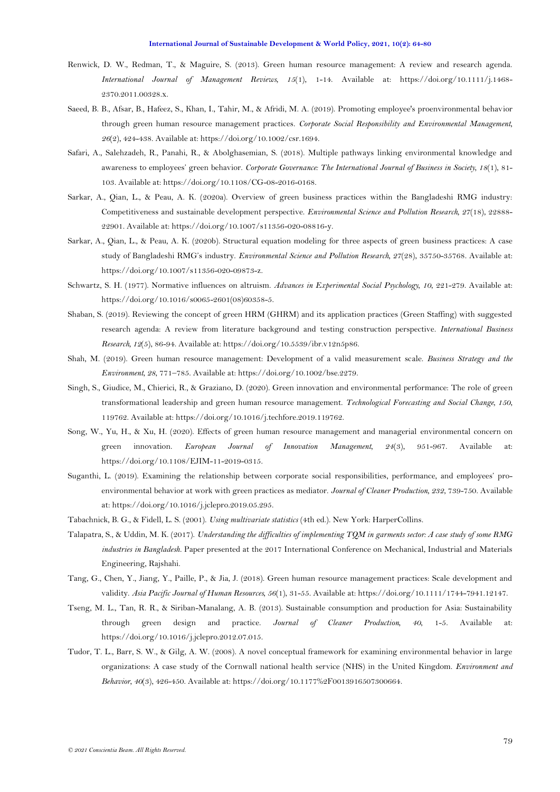- <span id="page-15-4"></span>Renwick, D. W., Redman, T., & Maguire, S. (2013). Green human resource management: A review and research agenda. *International Journal of Management Reviews, 15*(1), 1-14. Available at: https://doi.org/10.1111/j.1468- 2370.2011.00328.x.
- Saeed, B. B., Afsar, B., Hafeez, S., Khan, I., Tahir, M., & Afridi, M. A. (2019). Promoting employee's proenvironmental behavior through green human resource management practices. *Corporate Social Responsibility and Environmental Management, 26*(2), 424-438. Available at: https://doi.org/10.1002/csr.1694.
- Safari, A., Salehzadeh, R., Panahi, R., & Abolghasemian, S. (2018). Multiple pathways linking environmental knowledge and awareness to employees' green behavior. *Corporate Governance: The International Journal of Business in Society, 18*(1), 81- 103. Available at: https://doi.org/10.1108/CG-08-2016-0168.
- Sarkar, A., Qian, L., & Peau, A. K. (2020a). Overview of green business practices within the Bangladeshi RMG industry: Competitiveness and sustainable development perspective. *Environmental Science and Pollution Research, 27*(18), 22888- 22901. Available at: https://doi.org/10.1007/s11356-020-08816-y.
- <span id="page-15-3"></span>Sarkar, A., Qian, L., & Peau, A. K. (2020b). Structural equation modeling for three aspects of green business practices: A case study of Bangladeshi RMG's industry. *Environmental Science and Pollution Research, 27*(28), 35750-35768. Available at: https://doi.org/10.1007/s11356-020-09873-z.
- <span id="page-15-11"></span>Schwartz, S. H. (1977). Normative influences on altruism. *Advances in Experimental Social Psychology, 10*, 221-279. Available at: https://doi.org/10.1016/s0065-2601(08)60358-5.
- <span id="page-15-6"></span>Shaban, S. (2019). Reviewing the concept of green HRM (GHRM) and its application practices (Green Staffing) with suggested research agenda: A review from literature background and testing construction perspective. *International Business Research, 12*(5), 86-94. Available at: https://doi.org/10.5539/ibr.v12n5p86.
- <span id="page-15-8"></span>Shah, M. (2019). Green human resource management: Development of a valid measurement scale. *Business Strategy and the Environment, 28*, 771–785. Available at: https://doi.org/10.1002/bse.2279.
- <span id="page-15-0"></span>Singh, S., Giudice, M., Chierici, R., & Graziano, D. (2020). Green innovation and environmental performance: The role of green transformational leadership and green human resource management. *Technological Forecasting and Social Change, 150*, 119762. Available at: https://doi.org/10.1016/j.techfore.2019.119762.
- <span id="page-15-1"></span>Song, W., Yu, H., & Xu, H. (2020). Effects of green human resource management and managerial environmental concern on green innovation. *European Journal of Innovation Management, 24*(3), 951-967. Available at: https://doi.org/10.1108/EJIM-11-2019-0315.
- <span id="page-15-2"></span>Suganthi, L. (2019). Examining the relationship between corporate social responsibilities, performance, and employees' proenvironmental behavior at work with green practices as mediator. *Journal of Cleaner Production, 232*, 739-750. Available at: https://doi.org/10.1016/j.jclepro.2019.05.295.
- <span id="page-15-12"></span>Tabachnick, B. G., & Fidell, L. S. (2001). *Using multivariate statistics* (4th ed.). New York: HarperCollins.
- <span id="page-15-5"></span>Talapatra, S., & Uddin, M. K. (2017). *Understanding the difficulties of implementing TQM in garments sector: A case study of some RMG industries in Bangladesh*. Paper presented at the 2017 International Conference on Mechanical, Industrial and Materials Engineering, Rajshahi.
- <span id="page-15-7"></span>Tang, G., Chen, Y., Jiang, Y., Paille, P., & Jia, J. (2018). Green human resource management practices: Scale development and validity. *Asia Pacific Journal of Human Resources, 56*(1), 31-55. Available at: https://doi.org/10.1111/1744-7941.12147.
- <span id="page-15-9"></span>Tseng, M. L., Tan, R. R., & Siriban-Manalang, A. B. (2013). Sustainable consumption and production for Asia: Sustainability through green design and practice. *Journal of Cleaner Production*, 40, 1-5. Available https://doi.org/10.1016/j.jclepro.2012.07.015.
- <span id="page-15-10"></span>Tudor, T. L., Barr, S. W., & Gilg, A. W. (2008). A novel conceptual framework for examining environmental behavior in large organizations: A case study of the Cornwall national health service (NHS) in the United Kingdom. *Environment and Behavior, 40*(3), 426-450. Available at: https://doi.org/10.1177%2F0013916507300664.